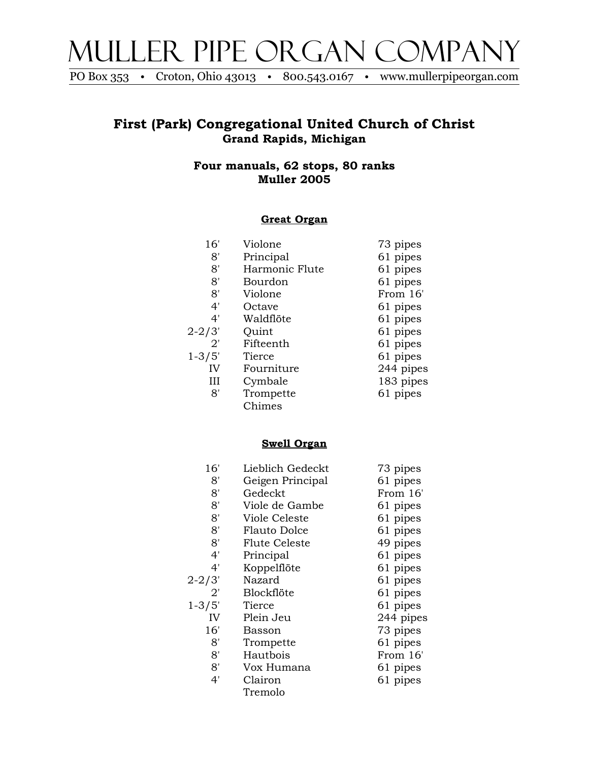

PO Box 353 • Croton, Ohio 43013 • 800.543.0167 • www.mullerpipeorgan.com

## **First (Park) Congregational United Church of Christ Grand Rapids, Michigan**

**Four manuals, 62 stops, 80 ranks Muller 2005**

#### **Great Organ**

| 16'        | Violone        | 73 pipes  |
|------------|----------------|-----------|
| 8'         | Principal      | 61 pipes  |
| 8'         | Harmonic Flute | 61 pipes  |
| 8'         | Bourdon        | 61 pipes  |
| 8'         | Violone        | From 16'  |
| 4'         | Octave         | 61 pipes  |
| 4'         | Waldflöte      | 61 pipes  |
| $2 - 2/3'$ | Quint          | 61 pipes  |
| 2'         | Fifteenth      | 61 pipes  |
| $1 - 3/5'$ | Tierce         | 61 pipes  |
| IV         | Fourniture     | 244 pipes |
| Ш          | Cymbale        | 183 pipes |
| 8'         | Trompette      | 61 pipes  |
|            | Chimes         |           |

#### **Swell Organ**

| 16'          | Lieblich Gedeckt | 73 pipes  |
|--------------|------------------|-----------|
| 8'           | Geigen Principal | 61 pipes  |
| 8'           | Gedeckt          | From 16'  |
| 8'           | Viole de Gambe   | 61 pipes  |
| 8'           | Viole Celeste    | 61 pipes  |
| 8'           | Flauto Dolce     | 61 pipes  |
| 8'           | Flute Celeste    | 49 pipes  |
| 4'           | Principal        | 61 pipes  |
| 4'           | Koppelflöte      | 61 pipes  |
| 2-2/3'       | Nazard           | 61 pipes  |
| $2^{\prime}$ | Blockflöte       | 61 pipes  |
| $1 - 3/5'$   | Tierce           | 61 pipes  |
| IV           | Plein Jeu        | 244 pipes |
| 16'          | Basson           | 73 pipes  |
| 8'           | Trompette        | 61 pipes  |
| 8'           | Hautbois         | From 16'  |
| 8'           | Vox Humana       | 61 pipes  |
| 4'           | Clairon          | 61 pipes  |
|              | Tremolo          |           |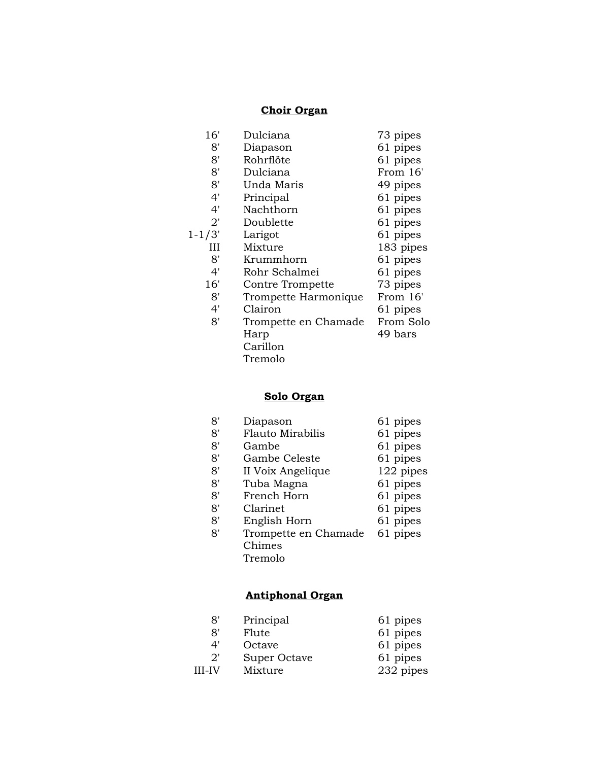#### **Choir Organ**

| 16'          | Dulciana             | 73 pipes  |
|--------------|----------------------|-----------|
| 8'           | Diapason             | 61 pipes  |
| 8'           | Rohrflöte            | 61 pipes  |
| 8'           | Dulciana             | From 16'  |
| 8'           | Unda Maris           | 49 pipes  |
| 4'           | Principal            | 61 pipes  |
| 4'           | Nachthorn            | 61 pipes  |
| $2^{\prime}$ | Doublette            | 61 pipes  |
| $1 - 1/3'$   | Larigot              | 61 pipes  |
| Ш            | Mixture              | 183 pipes |
| 8'           | Krummhorn            | 61 pipes  |
| 4'           | Rohr Schalmei        | 61 pipes  |
| 16'          | Contre Trompette     | 73 pipes  |
| 8'           | Trompette Harmonique | From 16'  |
| 4'           | Clairon              | 61 pipes  |
| 8'           | Trompette en Chamade | From Solo |
|              | Harp                 | 49 bars   |
|              | Carillon             |           |
|              | Tremolo              |           |

## **Solo Organ**

| 8' | Diapason                | 61 pipes  |
|----|-------------------------|-----------|
| 8' | <b>Flauto Mirabilis</b> | 61 pipes  |
| 8' | Gambe                   | 61 pipes  |
| 8' | Gambe Celeste           | 61 pipes  |
| 8' | II Voix Angelique       | 122 pipes |
| 8' | Tuba Magna              | 61 pipes  |
| 8' | French Horn             | 61 pipes  |
| 8' | Clarinet                | 61 pipes  |
| 8' | English Horn            | 61 pipes  |
| 8' | Trompette en Chamade    | 61 pipes  |
|    | Chimes                  |           |
|    | Tremolo                 |           |

# **Antiphonal Organ**

| 8'            | Principal    | 61 pipes  |
|---------------|--------------|-----------|
| י8            | Flute        | 61 pipes  |
| 4'            | Octave       | 61 pipes  |
| 2'            | Super Octave | 61 pipes  |
| <b>III-IV</b> | Mixture      | 232 pipes |